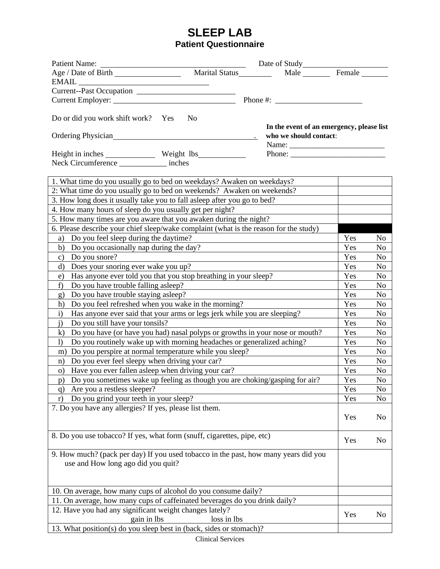|                                                                                                                             |                | Date of Study<br>Male Female              |                |                |
|-----------------------------------------------------------------------------------------------------------------------------|----------------|-------------------------------------------|----------------|----------------|
|                                                                                                                             |                |                                           |                |                |
|                                                                                                                             |                |                                           |                |                |
|                                                                                                                             |                |                                           |                |                |
|                                                                                                                             |                |                                           |                |                |
| Do or did you work shift work? Yes                                                                                          | N <sub>0</sub> |                                           |                |                |
|                                                                                                                             |                | In the event of an emergency, please list |                |                |
| Ordering Physician                                                                                                          |                | who we should contact:                    |                |                |
|                                                                                                                             |                | Phone:                                    |                |                |
| Neck Circumference __________ inches                                                                                        |                |                                           |                |                |
|                                                                                                                             |                |                                           |                |                |
| 1. What time do you usually go to bed on weekdays? Awaken on weekdays?                                                      |                |                                           |                |                |
| 2: What time do you usually go to bed on weekends? Awaken on weekends?                                                      |                |                                           |                |                |
| 3. How long does it usually take you to fall asleep after you go to bed?                                                    |                |                                           |                |                |
| 4. How many hours of sleep do you usually get per night?                                                                    |                |                                           |                |                |
| 5. How many times are you aware that you awaken during the night?                                                           |                |                                           |                |                |
| 6. Please describe your chief sleep/wake complaint (what is the reason for the study)                                       |                |                                           |                |                |
| Do you feel sleep during the daytime?<br>a)                                                                                 |                |                                           | Yes            | No             |
| Do you occasionally nap during the day?<br>b)                                                                               |                |                                           | Yes            | N <sub>0</sub> |
| Do you snore?<br>$\mathbf{c})$                                                                                              |                |                                           | Yes            | No             |
| Does your snoring ever wake you up?<br>d)                                                                                   |                |                                           | Yes            | N <sub>0</sub> |
| Has anyone ever told you that you stop breathing in your sleep?<br>e)                                                       |                |                                           | Yes            | No             |
| Do you have trouble falling as leep?<br>f)                                                                                  |                |                                           | Yes            | No             |
| Do you have trouble staying as leep?<br>g)                                                                                  |                |                                           | Yes            | No             |
| Do you feel refreshed when you wake in the morning?<br>h)                                                                   |                |                                           | Yes            | N <sub>0</sub> |
| $\mathbf{i}$                                                                                                                |                |                                           | Yes            | No             |
| Has anyone ever said that your arms or legs jerk while you are sleeping?<br>$\mathbf{j}$<br>Do you still have your tonsils? |                | Yes                                       | No             |                |
| Do you have (or have you had) nasal polyps or growths in your nose or mouth?<br>$\bf k)$                                    |                | Yes                                       | N <sub>0</sub> |                |
| Do you routinely wake up with morning headaches or generalized aching?<br>$\left( \right)$                                  |                | Yes                                       | No             |                |
| Do you perspire at normal temperature while you sleep?<br>m)                                                                |                | Yes                                       | N <sub>0</sub> |                |
| Do you ever feel sleepy when driving your car?<br>n)                                                                        |                | Yes                                       | N <sub>o</sub> |                |
| o) Have you ever fallen as leep when driving your car?                                                                      |                | Yes                                       | N <sub>0</sub> |                |
| p) Do you sometimes wake up feeling as though you are choking/gasping for air?                                              |                | Yes                                       | N <sub>o</sub> |                |
| Are you a restless sleeper?<br>q)                                                                                           |                | Yes                                       | No             |                |
| Do you grind your teeth in your sleep?<br>r)                                                                                |                |                                           | Yes            | No             |
| 7. Do you have any allergies? If yes, please list them.                                                                     |                |                                           |                |                |
|                                                                                                                             |                |                                           | Yes            | N <sub>0</sub> |
|                                                                                                                             |                |                                           |                |                |
| 8. Do you use tobacco? If yes, what form (snuff, cigarettes, pipe, etc)                                                     |                |                                           | Yes            | No             |
|                                                                                                                             |                |                                           |                |                |
| 9. How much? (pack per day) If you used tobacco in the past, how many years did you                                         |                |                                           |                |                |
| use and How long ago did you quit?                                                                                          |                |                                           |                |                |
|                                                                                                                             |                |                                           |                |                |
|                                                                                                                             |                |                                           |                |                |
| 10. On average, how many cups of alcohol do you consume daily?                                                              |                |                                           |                |                |
| 11. On average, how many cups of caffeinated beverages do you drink daily?                                                  |                |                                           |                |                |
| 12. Have you had any significant weight changes lately?                                                                     |                |                                           | Yes            | N <sub>0</sub> |
| gain in lbs                                                                                                                 | loss in lbs    |                                           |                |                |
| 13. What position(s) do you sleep best in (back, sides or stomach)?                                                         |                |                                           |                |                |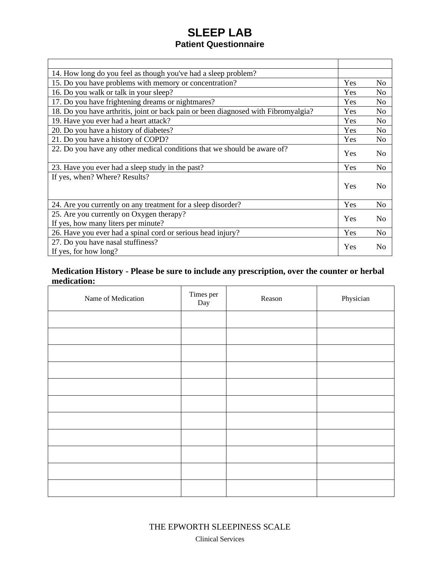| 14. How long do you feel as though you've had a sleep problem?                     |     |                |
|------------------------------------------------------------------------------------|-----|----------------|
| 15. Do you have problems with memory or concentration?                             |     | N <sub>0</sub> |
| 16. Do you walk or talk in your sleep?                                             |     | N <sub>0</sub> |
| 17. Do you have frightening dreams or nightmares?                                  |     | N <sub>o</sub> |
| 18. Do you have arthritis, joint or back pain or been diagnosed with Fibromyalgia? |     | N <sub>o</sub> |
| 19. Have you ever had a heart attack?                                              | Yes | N <sub>o</sub> |
| 20. Do you have a history of diabetes?                                             | Yes | N <sub>o</sub> |
| 21. Do you have a history of COPD?                                                 | Yes | N <sub>0</sub> |
| 22. Do you have any other medical conditions that we should be aware of?           | Yes | N <sub>0</sub> |
| 23. Have you ever had a sleep study in the past?                                   |     | N <sub>o</sub> |
| If yes, when? Where? Results?                                                      | Yes | N <sub>0</sub> |
| 24. Are you currently on any treatment for a sleep disorder?                       |     | No             |
| 25. Are you currently on Oxygen therapy?<br>If yes, how many liters per minute?    |     | N <sub>0</sub> |
| 26. Have you ever had a spinal cord or serious head injury?                        |     | N <sub>o</sub> |
| 27. Do you have nasal stuffiness?<br>If yes, for how long?                         |     | N <sub>0</sub> |

#### **Medication History - Please be sure to include any prescription, over the counter or herbal medication:**

| Name of Medication | Times per<br>Day | Reason | Physician |
|--------------------|------------------|--------|-----------|
|                    |                  |        |           |
|                    |                  |        |           |
|                    |                  |        |           |
|                    |                  |        |           |
|                    |                  |        |           |
|                    |                  |        |           |
|                    |                  |        |           |
|                    |                  |        |           |
|                    |                  |        |           |
|                    |                  |        |           |
|                    |                  |        |           |

Clinical Services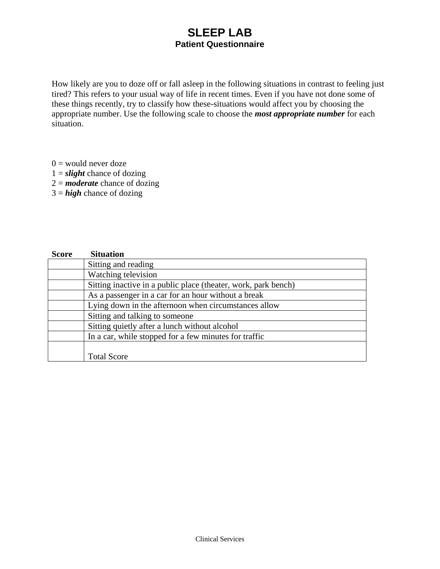How likely are you to doze off or fall asleep in the following situations in contrast to feeling just tired? This refers to your usual way of life in recent times. Even if you have not done some of these things recently, try to classify how these-situations would affect you by choosing the appropriate number. Use the following scale to choose the *most appropriate number* for each situation.

- $0 =$  would never doze
- $1 =$ *slight* chance of dozing
- 2 = *moderate* chance of dozing
- 3 = *high* chance of dozing

| <b>Score</b> | <b>Situation</b>                                               |
|--------------|----------------------------------------------------------------|
|              | Sitting and reading                                            |
|              | Watching television                                            |
|              | Sitting inactive in a public place (theater, work, park bench) |
|              | As a passenger in a car for an hour without a break            |
|              | Lying down in the afternoon when circumstances allow           |
|              | Sitting and talking to someone                                 |
|              | Sitting quietly after a lunch without alcohol                  |
|              | In a car, while stopped for a few minutes for traffic          |
|              |                                                                |
|              | <b>Total Score</b>                                             |